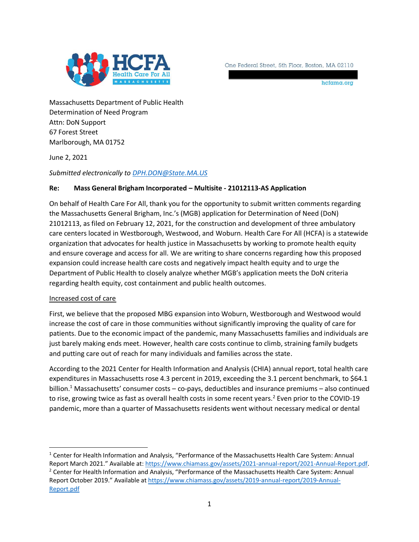

One Federal Street, 5th Floor, Boston, MA 02110

hcfama.org

Massachusetts Department of Public Health Determination of Need Program Attn: DoN Support 67 Forest Street Marlborough, MA 01752

June 2, 2021

## *Submitted electronically t[o DPH.DON@State.MA.US](mailto:DPH.DON@State.MA.US)*

## **Re: Mass General Brigham Incorporated – Multisite - 21012113-AS Application**

On behalf of Health Care For All, thank you for the opportunity to submit written comments regarding the Massachusetts General Brigham, Inc.'s (MGB) application for Determination of Need (DoN) 21012113, as filed on February 12, 2021, for the construction and development of three ambulatory care centers located in Westborough, Westwood, and Woburn. Health Care For All (HCFA) is a statewide organization that advocates for health justice in Massachusetts by working to promote health equity and ensure coverage and access for all. We are writing to share concerns regarding how this proposed expansion could increase health care costs and negatively impact health equity and to urge the Department of Public Health to closely analyze whether MGB's application meets the DoN criteria regarding health equity, cost containment and public health outcomes.

## Increased cost of care

 $\overline{\phantom{a}}$ 

First, we believe that the proposed MBG expansion into Woburn, Westborough and Westwood would increase the cost of care in those communities without significantly improving the quality of care for patients. Due to the economic impact of the pandemic, many Massachusetts families and individuals are just barely making ends meet. However, health care costs continue to climb, straining family budgets and putting care out of reach for many individuals and families across the state.

According to the 2021 Center for Health Information and Analysis (CHIA) annual report, total health care expenditures in Massachusetts rose 4.3 percent in 2019, exceeding the 3.1 percent benchmark, to \$64.1 billion.<sup>1</sup> Massachusetts' consumer costs – co-pays, deductibles and insurance premiums – also continued to rise, growing twice as fast as overall health costs in some recent years.<sup>2</sup> Even prior to the COVID-19 pandemic, more than a quarter of Massachusetts residents went without necessary medical or dental

<sup>&</sup>lt;sup>1</sup> Center for Health Information and Analysis, "Performance of the Massachusetts Health Care System: Annual Report March 2021." Available at: [https://www.chiamass.gov/assets/2021-annual-report/2021-Annual-Report.pdf.](https://www.chiamass.gov/assets/2021-annual-report/2021-Annual-Report.pdf) <sup>2</sup> Center for Health Information and Analysis, "Performance of the Massachusetts Health Care System: Annual Report October 2019." Available a[t https://www.chiamass.gov/assets/2019-annual-report/2019-Annual-](https://www.chiamass.gov/assets/2019-annual-report/2019-Annual-Report.pdf)[Report.pdf](https://www.chiamass.gov/assets/2019-annual-report/2019-Annual-Report.pdf)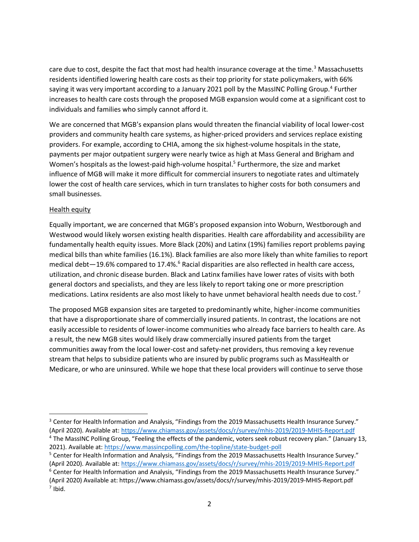care due to cost, despite the fact that most had health insurance coverage at the time.<sup>3</sup> Massachusetts residents identified lowering health care costs as their top priority for state policymakers, with 66% saying it was very important according to a January 2021 poll by the MassINC Polling Group.<sup>4</sup> Further increases to health care costs through the proposed MGB expansion would come at a significant cost to individuals and families who simply cannot afford it.

We are concerned that MGB's expansion plans would threaten the financial viability of local lower-cost providers and community health care systems, as higher-priced providers and services replace existing providers. For example, according to CHIA, among the six highest-volume hospitals in the state, payments per major outpatient surgery were nearly twice as high at Mass General and Brigham and Women's hospitals as the lowest-paid high-volume hospital.<sup>5</sup> Furthermore, the size and market influence of MGB will make it more difficult for commercial insurers to negotiate rates and ultimately lower the cost of health care services, which in turn translates to higher costs for both consumers and small businesses.

## Health equity

 $\overline{a}$ 

Equally important, we are concerned that MGB's proposed expansion into Woburn, Westborough and Westwood would likely worsen existing health disparities. Health care affordability and accessibility are fundamentally health equity issues. More Black (20%) and Latinx (19%) families report problems paying medical bills than white families (16.1%). Black families are also more likely than white families to report medical debt-19.6% compared to 17.4%.<sup>6</sup> Racial disparities are also reflected in health care access, utilization, and chronic disease burden. Black and Latinx families have lower rates of visits with both general doctors and specialists, and they are less likely to report taking one or more prescription medications. Latinx residents are also most likely to have unmet behavioral health needs due to cost.<sup>7</sup>

The proposed MGB expansion sites are targeted to predominantly white, higher-income communities that have a disproportionate share of commercially insured patients. In contrast, the locations are not easily accessible to residents of lower-income communities who already face barriers to health care. As a result, the new MGB sites would likely draw commercially insured patients from the target communities away from the local lower-cost and safety-net providers, thus removing a key revenue stream that helps to subsidize patients who are insured by public programs such as MassHealth or Medicare, or who are uninsured. While we hope that these local providers will continue to serve those

<sup>&</sup>lt;sup>3</sup> Center for Health Information and Analysis, "Findings from the 2019 Massachusetts Health Insurance Survey." (April 2020). Available at:<https://www.chiamass.gov/assets/docs/r/survey/mhis-2019/2019-MHIS-Report.pdf> <sup>4</sup> The MassINC Polling Group, "Feeling the effects of the pandemic, voters seek robust recovery plan." (January 13, 2021). Available at: <https://www.massincpolling.com/the-topline/state-budget-poll>

<sup>5</sup> Center for Health Information and Analysis, "Findings from the 2019 Massachusetts Health Insurance Survey." (April 2020). Available at:<https://www.chiamass.gov/assets/docs/r/survey/mhis-2019/2019-MHIS-Report.pdf>

<sup>&</sup>lt;sup>6</sup> Center for Health Information and Analysis, "Findings from the 2019 Massachusetts Health Insurance Survey." (April 2020) Available at: https://www.chiamass.gov/assets/docs/r/survey/mhis-2019/2019-MHIS-Report.pdf  $<sup>7</sup>$  Ibid.</sup>